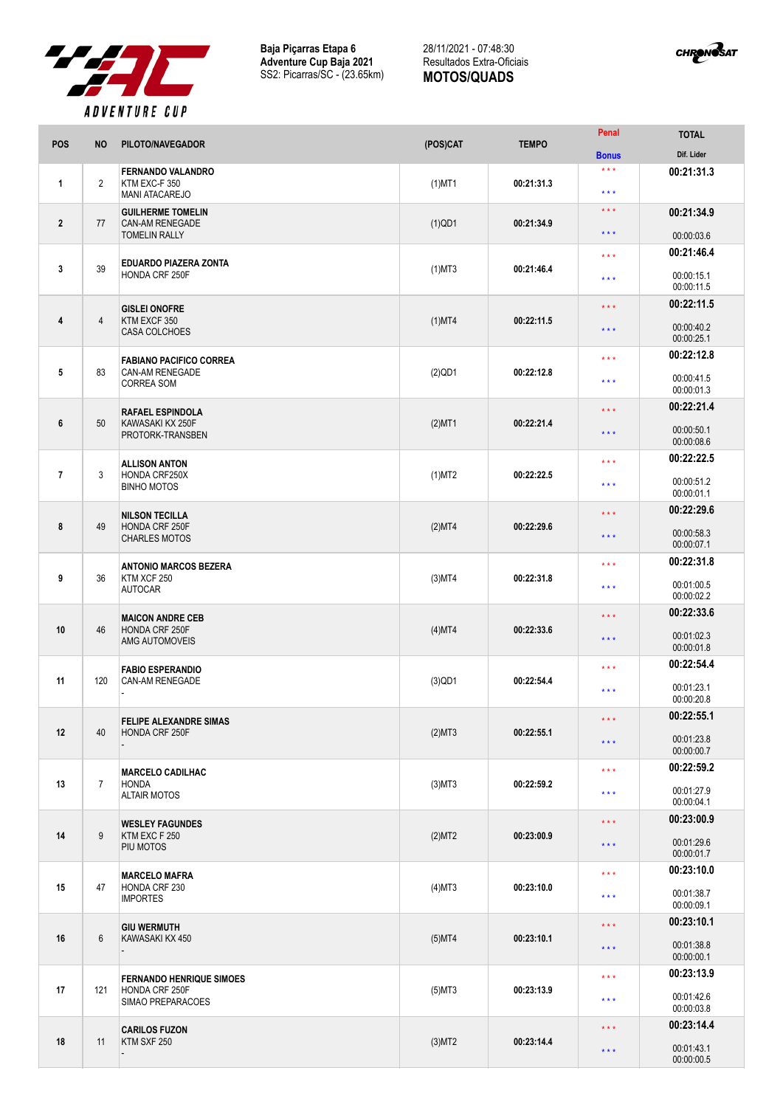

**Baja Piçarras Etapa 6 Adventure Cup Baja 2021** SS2: Picarras/SC - (23.65km)

## 28/11/2021 - 07:48:30 Resultados Extra-Oficiais **MOTOS/QUADS**



| POS            | <b>NO</b>      | PILOTO/NAVEGADOR                                                              | (POS)CAT     | <b>TEMPO</b> | Penal                        | <b>TOTAL</b>                           |
|----------------|----------------|-------------------------------------------------------------------------------|--------------|--------------|------------------------------|----------------------------------------|
|                |                |                                                                               |              |              | <b>Bonus</b>                 | Dif. Lider                             |
| $\mathbf{1}$   | $\overline{2}$ | <b>FERNANDO VALANDRO</b><br>KTM EXC-F 350<br><b>MANI ATACAREJO</b>            | $(1)$ MT1    | 00:21:31.3   | $***$<br>$\star \star \star$ | 00:21:31.3                             |
| $\overline{2}$ | 77             | <b>GUILHERME TOMELIN</b><br><b>CAN-AM RENEGADE</b>                            | $(1)$ QD1    | 00:21:34.9   | $***$<br>* * *               | 00:21:34.9                             |
|                |                | <b>TOMELIN RALLY</b>                                                          |              |              |                              | 00:00:03.6                             |
| 3              | 39             | <b>EDUARDO PIAZERA ZONTA</b><br>HONDA CRF 250F                                | $(1)$ MT3    | 00:21:46.4   | * * *<br>* * *               | 00:21:46.4<br>00:00:15.1<br>00:00:11.5 |
|                |                |                                                                               |              |              |                              | 00:22:11.5                             |
| 4              | $\overline{4}$ | <b>GISLEI ONOFRE</b><br>KTM EXCF 350<br><b>CASA COLCHOES</b>                  | $(1)$ MT4    | 00:22:11.5   | * * *<br>$\star\star\star$   | 00:00:40.2<br>00:00:25.1               |
|                |                |                                                                               |              |              |                              | 00:22:12.8                             |
| 5              | 83             | <b>FABIANO PACIFICO CORREA</b><br><b>CAN-AM RENEGADE</b><br><b>CORREA SOM</b> | $(2)$ QD1    | 00:22:12.8   | * * *<br>$***$               | 00:00:41.5<br>00:00:01.3               |
|                |                | <b>RAFAEL ESPINDOLA</b>                                                       |              |              | * * *                        | 00:22:21.4                             |
| 6              | 50             | KAWASAKI KX 250F<br>PROTORK-TRANSBEN                                          | $(2)$ MT1    | 00:22:21.4   | * * *                        | 00:00:50.1<br>00:00:08.6               |
|                |                | <b>ALLISON ANTON</b>                                                          |              |              | $***$                        | 00:22:22.5                             |
| $\overline{7}$ | 3              | HONDA CRF250X<br><b>BINHO MOTOS</b>                                           | $(1)$ MT2    | 00:22:22.5   | * * *                        | 00:00:51.2<br>00:00:01.1               |
|                |                | <b>NILSON TECILLA</b>                                                         |              |              | * * *                        | 00:22:29.6                             |
| 8              | 49             | HONDA CRF 250F<br><b>CHARLES MOTOS</b>                                        | (2)MT4       | 00:22:29.6   | $***$                        | 00:00:58.3<br>00:00:07.1               |
|                |                | <b>ANTONIO MARCOS BEZERA</b>                                                  |              |              | $***$                        | 00:22:31.8                             |
| 9              | 36             | KTM XCF 250<br><b>AUTOCAR</b>                                                 | $(3)$ MT4    | 00:22:31.8   | * * *                        | 00:01:00.5<br>00:00:02.2               |
|                |                | <b>MAICON ANDRE CEB</b>                                                       |              |              | 00:22:33.6<br>* * *          |                                        |
| 10             | 46             | HONDA CRF 250F<br>AMG AUTOMOVEIS                                              | (4)MT4       | 00:22:33.6   | $***$                        | 00:01:02.3<br>00:00:01.8               |
|                |                | <b>FABIO ESPERANDIO</b>                                                       |              |              | * * *                        | 00:22:54.4                             |
| 11             | 120            | CAN-AM RENEGADE                                                               | $(3)$ QD1    | 00:22:54.4   | ***                          | 00:01:23.1<br>00:00:20.8               |
|                |                | <b>FELIPE ALEXANDRE SIMAS</b>                                                 |              |              | $***$                        | 00:22:55.1                             |
| 12             | 40             | HONDA CRF 250F                                                                | (2)MT3       | 00:22:55.1   | $\star\star\star$            | 00:01:23.8<br>00:00:00.7               |
|                |                | <b>MARCELO CADILHAC</b>                                                       |              |              | $\star\star\star$            | 00:22:59.2                             |
| 13             | $\overline{7}$ | <b>HONDA</b><br><b>ALTAIR MOTOS</b>                                           | $(3)$ MT $3$ | 00:22:59.2   | $***$                        | 00:01:27.9<br>00:00:04.1               |
|                | 9              | <b>WESLEY FAGUNDES</b>                                                        |              |              | $***$                        | 00:23:00.9                             |
| 14             |                | KTM EXC F 250<br>PIU MOTOS                                                    | (2)MT2       | 00:23:00.9   | $\star$ $\star$ $\star$      | 00:01:29.6<br>00:00:01.7               |
|                |                | <b>MARCELO MAFRA</b><br>HONDA CRF 230<br><b>IMPORTES</b>                      |              |              | $***$                        | 00:23:10.0                             |
| 15             | 47             |                                                                               | $(4)$ MT3    | 00:23:10.0   | $***$                        | 00:01:38.7<br>00:00:09.1               |
|                |                | <b>GIU WERMUTH</b><br>KAWASAKI KX 450                                         |              |              | * * *                        | 00:23:10.1                             |
| 16             | 6              |                                                                               | $(5)$ MT4    | 00:23:10.1   | $\star\star\star$            | 00:01:38.8<br>00:00:00.1               |
|                |                | <b>FERNANDO HENRIQUE SIMOES</b>                                               |              |              | $***$                        | 00:23:13.9                             |
| 17             | 121            | HONDA CRF 250F<br>SIMAO PREPARACOES                                           | $(5)$ MT3    | 00:23:13.9   | $***$                        | 00:01:42.6<br>00:00:03.8               |
| 18             | 11             | <b>CARILOS FUZON</b><br>KTM SXF 250                                           |              |              | $***$                        | 00:23:14.4                             |
|                |                |                                                                               | $(3)$ MT2    | 00:23:14.4   | $\star\star\star$            | 00:01:43.1<br>00:00:00.5               |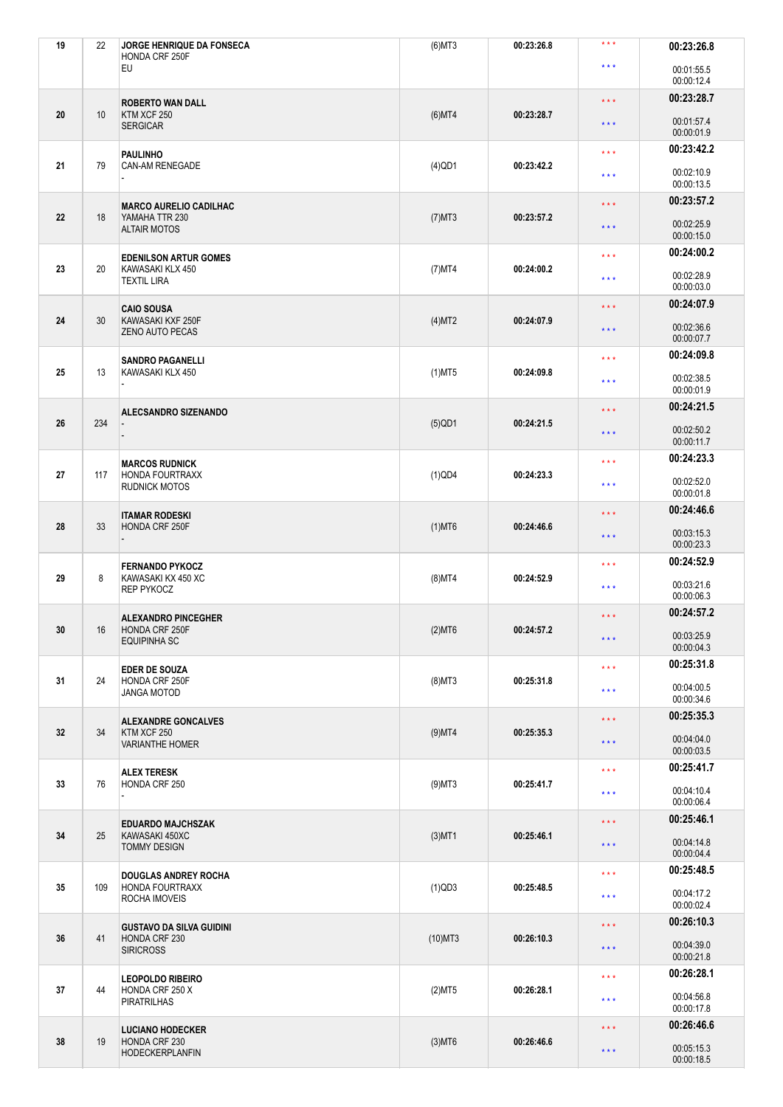| 19 | 22  | JORGE HENRIQUE DA FONSECA<br>HONDA CRF 250F                             | $(6)$ MT3  | 00:23:26.8 | $***$                                                                                         | 00:23:26.8               |
|----|-----|-------------------------------------------------------------------------|------------|------------|-----------------------------------------------------------------------------------------------|--------------------------|
|    |     | EU                                                                      |            |            | $***$                                                                                         | 00:01:55.5<br>00:00:12.4 |
|    |     | <b>ROBERTO WAN DALL</b>                                                 |            |            | $***$                                                                                         | 00:23:28.7               |
| 20 | 10  | KTM XCF 250<br><b>SERGICAR</b>                                          | $(6)$ MT4  | 00:23:28.7 | $\star$ $\star$ $\star$                                                                       | 00:01:57.4<br>00:00:01.9 |
|    |     | <b>PAULINHO</b><br><b>CAN-AM RENEGADE</b>                               |            |            | $***$                                                                                         | 00:23:42.2               |
| 21 | 79  |                                                                         | $(4)$ QD1  | 00:23:42.2 | $* * *$                                                                                       | 00:02:10.9<br>00:00:13.5 |
|    |     | <b>MARCO AURELIO CADILHAC</b><br>YAMAHA TTR 230<br><b>ALTAIR MOTOS</b>  |            |            | $***$                                                                                         | 00:23:57.2               |
| 22 | 18  |                                                                         | $(7)$ MT3  | 00:23:57.2 | $***$                                                                                         | 00:02:25.9<br>00:00:15.0 |
|    |     | <b>EDENILSON ARTUR GOMES</b><br>KAWASAKI KLX 450<br><b>TEXTIL LIRA</b>  |            |            | $***$                                                                                         | 00:24:00.2               |
| 23 | 20  |                                                                         | $(7)$ MT4  | 00:24:00.2 | $***$                                                                                         | 00:02:28.9<br>00:00:03.0 |
|    |     | <b>CAIO SOUSA</b>                                                       |            |            | $***$                                                                                         | 00:24:07.9               |
| 24 | 30  | KAWASAKI KXF 250F<br><b>ZENO AUTO PECAS</b>                             | (4)MT2     | 00:24:07.9 | $***$                                                                                         | 00:02:36.6<br>00:00:07.7 |
|    |     | <b>SANDRO PAGANELLI</b>                                                 |            |            | $***$                                                                                         | 00:24:09.8               |
| 25 | 13  | KAWASAKI KLX 450                                                        | $(1)$ MT5  | 00:24:09.8 | $***$                                                                                         | 00:02:38.5<br>00:00:01.9 |
|    |     | ALECSANDRO SIZENANDO                                                    |            |            | $***$                                                                                         | 00:24:21.5               |
| 26 | 234 |                                                                         | $(5)$ QD1  | 00:24:21.5 | $***$                                                                                         | 00:02:50.2<br>00:00:11.7 |
|    |     | <b>MARCOS RUDNICK</b><br><b>HONDA FOURTRAXX</b><br><b>RUDNICK MOTOS</b> |            |            | 00:24:23.3<br>$***$<br>00:02:52.0<br>$***$<br>00:00:01.8                                      |                          |
| 27 | 117 |                                                                         | $(1)$ QD4  | 00:24:23.3 |                                                                                               |                          |
|    | 33  | <b>ITAMAR RODESKI</b><br>HONDA CRF 250F                                 |            |            | $***$                                                                                         | 00:24:46.6               |
| 28 |     |                                                                         | $(1)$ MT6  | 00:24:46.6 | 00:03:15.3<br>$***$<br>00:00:23.3<br>00:24:52.9<br>$***$<br>00:03:21.6<br>$***$<br>00:00:06.3 |                          |
|    |     | <b>FERNANDO PYKOCZ</b>                                                  |            |            |                                                                                               |                          |
| 29 | 8   | KAWASAKI KX 450 XC<br><b>REP PYKOCZ</b>                                 | $(8)$ MT4  | 00:24:52.9 |                                                                                               |                          |
|    |     | <b>ALEXANDRO PINCEGHER</b>                                              |            |            | $***$                                                                                         | 00:24:57.2               |
| 30 | 16  | HONDA CRF 250F<br><b>EQUIPINHA SC</b>                                   | $(2)$ MT6  | 00:24:57.2 | $***$                                                                                         | 00:03:25.9<br>00:00:04.3 |
|    |     | <b>EDER DE SOUZA</b>                                                    |            |            | $\star\star\star$                                                                             | 00:25:31.8               |
| 31 | 24  | HONDA CRF 250F<br><b>JANGA MOTOD</b>                                    | $(8)$ MT3  | 00:25:31.8 | $***$                                                                                         | 00:04:00.5<br>00:00:34.6 |
|    |     | <b>ALEXANDRE GONCALVES</b>                                              |            |            | $***$                                                                                         | 00:25:35.3               |
| 32 | 34  | KTM XCF 250<br><b>VARIANTHE HOMER</b>                                   | $(9)$ MT4  | 00:25:35.3 | $***$                                                                                         | 00:04:04.0               |
|    |     |                                                                         |            |            | $***$                                                                                         | 00:00:03.5<br>00:25:41.7 |
| 33 | 76  | <b>ALEX TERESK</b><br>HONDA CRF 250                                     | $(9)$ MT3  | 00:25:41.7 | $\star$ $\star$ $\star$                                                                       | 00:04:10.4<br>00:00:06.4 |
|    |     |                                                                         |            |            | $***$                                                                                         | 00:25:46.1               |
| 34 | 25  | <b>EDUARDO MAJCHSZAK</b><br>KAWASAKI 450XC<br><b>TOMMY DESIGN</b>       | $(3)$ MT1  | 00:25:46.1 | $***$                                                                                         | 00:04:14.8<br>00:00:04.4 |
|    |     |                                                                         |            |            | $***$                                                                                         | 00:25:48.5               |
| 35 | 109 | <b>DOUGLAS ANDREY ROCHA</b><br><b>HONDA FOURTRAXX</b><br>ROCHA IMOVEIS  | $(1)$ QD3  | 00:25:48.5 | $***$                                                                                         | 00:04:17.2<br>00:00:02.4 |
|    | 41  | <b>GUSTAVO DA SILVA GUIDINI</b><br>HONDA CRF 230<br><b>SIRICROSS</b>    |            |            | $***$                                                                                         | 00:26:10.3               |
| 36 |     |                                                                         | $(10)$ MT3 | 00:26:10.3 | $\star$ $\star$ $\star$                                                                       | 00:04:39.0<br>00:00:21.8 |
|    |     |                                                                         |            |            | $\star\star\star$                                                                             | 00:26:28.1               |
| 37 | 44  | <b>LEOPOLDO RIBEIRO</b><br>HONDA CRF 250 X<br><b>PIRATRILHAS</b>        | (2)MT5     | 00:26:28.1 | $\star$ $\star$ $\star$                                                                       | 00:04:56.8<br>00:00:17.8 |
|    |     |                                                                         |            |            | $***$                                                                                         | 00:26:46.6               |
| 38 | 19  | <b>LUCIANO HODECKER</b><br>HONDA CRF 230<br><b>HODECKERPLANFIN</b>      | $(3)$ MT6  | 00:26:46.6 | $***$                                                                                         | 00:05:15.3<br>00:00:18.5 |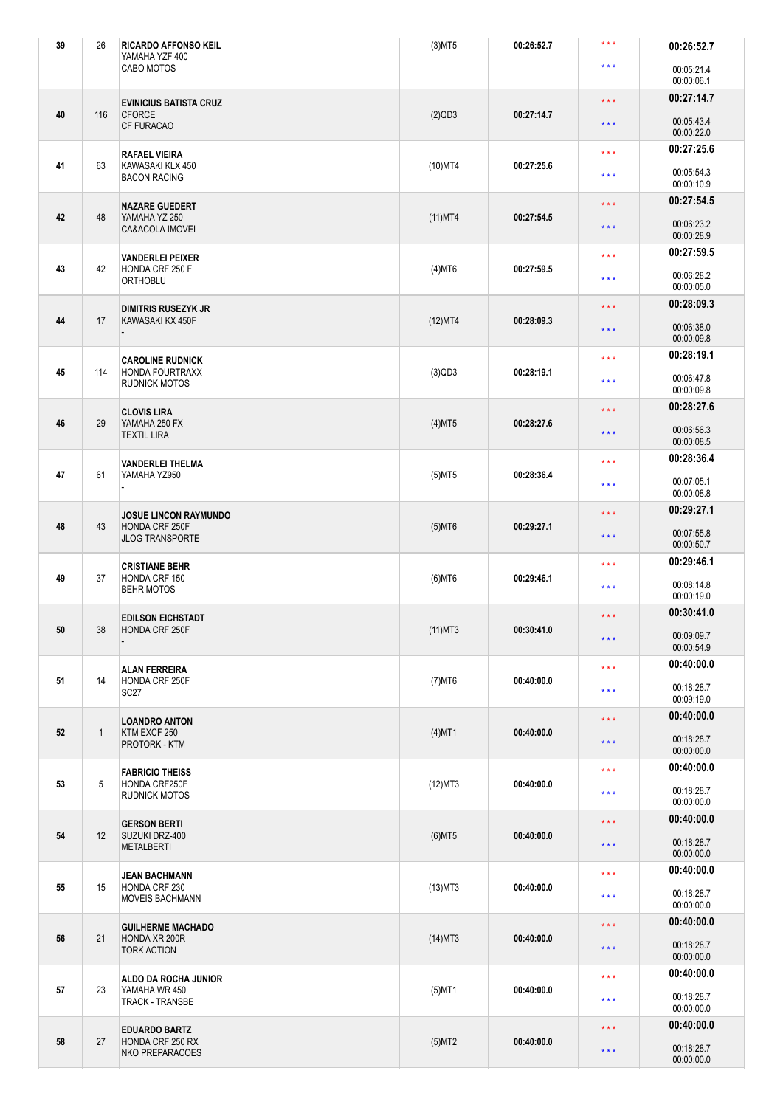| 39 | 26           | <b>RICARDO AFFONSO KEIL</b><br>YAMAHA YZF 400                            | $(3)$ MT5  | 00:26:52.7 | $***$                             | 00:26:52.7               |
|----|--------------|--------------------------------------------------------------------------|------------|------------|-----------------------------------|--------------------------|
|    |              | CABO MOTOS                                                               |            |            | $***$                             | 00:05:21.4<br>00:00:06.1 |
|    |              | <b>EVINICIUS BATISTA CRUZ</b>                                            |            |            | $***$                             | 00:27:14.7               |
| 40 | 116          | <b>CFORCE</b><br><b>CF FURACAO</b>                                       | $(2)$ QD3  | 00:27:14.7 | $***$                             | 00:05:43.4<br>00:00:22.0 |
|    |              | <b>RAFAEL VIEIRA</b>                                                     |            |            | $***$                             | 00:27:25.6               |
| 41 | 63           | KAWASAKI KLX 450<br><b>BACON RACING</b>                                  | $(10)$ MT4 | 00:27:25.6 | $***$                             | 00:05:54.3<br>00:00:10.9 |
|    |              | <b>NAZARE GUEDERT</b>                                                    |            |            | $***$                             | 00:27:54.5               |
| 42 | 48           | YAMAHA YZ 250<br>CA&ACOLA IMOVEI                                         | $(11)$ MT4 | 00:27:54.5 | $***$                             | 00:06:23.2<br>00:00:28.9 |
| 43 | 42           | <b>VANDERLEI PEIXER</b><br>HONDA CRF 250 F<br>ORTHOBLU                   |            | 00:27:59.5 | $***$                             | 00:27:59.5               |
|    |              |                                                                          | $(4)$ MT6  |            | $***$                             | 00:06:28.2<br>00:00:05.0 |
| 44 | 17           | <b>DIMITRIS RUSEZYK JR</b><br>KAWASAKI KX 450F                           | (12)MT4    | 00:28:09.3 | $***$                             | 00:28:09.3               |
|    |              |                                                                          |            |            | $***$                             | 00:06:38.0<br>00:00:09.8 |
|    |              | <b>CAROLINE RUDNICK</b>                                                  |            |            | $***$                             | 00:28:19.1               |
| 45 | 114          | <b>HONDA FOURTRAXX</b><br><b>RUDNICK MOTOS</b>                           | $(3)$ QD3  | 00:28:19.1 | $***$                             | 00:06:47.8<br>00:00:09.8 |
|    |              | <b>CLOVIS LIRA</b>                                                       |            |            | 00:28:27.6<br>$***$               |                          |
| 46 | 29           | YAMAHA 250 FX<br><b>TEXTIL LIRA</b>                                      | $(4)$ MT5  | 00:28:27.6 | $***$                             | 00:06:56.3<br>00:00:08.5 |
|    |              | <b>VANDERLEI THELMA</b><br>YAMAHA YZ950                                  |            |            | $***$                             | 00:28:36.4               |
| 47 | 61           |                                                                          | $(5)$ MT5  | 00:28:36.4 | $***$                             | 00:07:05.1<br>00:00:08.8 |
|    | 43           | <b>JOSUE LINCON RAYMUNDO</b><br>HONDA CRF 250F<br><b>JLOG TRANSPORTE</b> |            |            | $***$                             | 00:29:27.1               |
| 48 |              |                                                                          | $(5)$ MT6  | 00:29:27.1 | $***$                             | 00:07:55.8<br>00:00:50.7 |
|    |              | <b>CRISTIANE BEHR</b>                                                    |            |            | 00:29:46.1<br>$***$<br>00:08:14.8 |                          |
| 49 | 37           | HONDA CRF 150<br><b>BEHR MOTOS</b>                                       | $(6)$ MT6  | 00:29:46.1 | $***$                             | 00:00:19.0               |
|    |              | <b>EDILSON EICHSTADT</b>                                                 |            |            | 00:30:41.0<br>$***$               |                          |
| 50 | 38           | HONDA CRF 250F                                                           | $(11)$ MT3 | 00:30:41.0 | $***$                             | 00:09:09.7<br>00:00:54.9 |
|    |              | <b>ALAN FERREIRA</b>                                                     |            |            | $***$                             | 00:40:00.0               |
| 51 | 14           | HONDA CRF 250F<br>SC <sub>27</sub>                                       | $(7)$ MT6  | 00:40:00.0 | $***$                             | 00:18:28.7<br>00:09:19.0 |
|    |              |                                                                          |            |            | $***$                             | 00:40:00.0               |
| 52 | $\mathbf{1}$ | <b>LOANDRO ANTON</b><br>KTM EXCF 250                                     | $(4)$ MT1  | 00:40:00.0 |                                   | 00:18:28.7               |
|    |              | PROTORK - KTM                                                            |            |            | $***$                             | 00:00:00.0               |
|    | 5            | <b>FABRICIO THEISS</b><br>HONDA CRF250F<br><b>RUDNICK MOTOS</b>          |            |            | $***$                             | 00:40:00.0               |
| 53 |              |                                                                          | $(12)$ MT3 | 00:40:00.0 | $* * *$                           | 00:18:28.7<br>00:00:00.0 |
|    | 12           | <b>GERSON BERTI</b><br>SUZUKI DRZ-400<br><b>METALBERTI</b>               |            |            | $***$                             | 00:40:00.0               |
| 54 |              |                                                                          | $(6)$ MT5  | 00:40:00.0 | $***$                             | 00:18:28.7<br>00:00:00.0 |
|    | 15           | <b>JEAN BACHMANN</b><br>HONDA CRF 230<br><b>MOVEIS BACHMANN</b>          |            |            | $***$                             | 00:40:00.0               |
| 55 |              |                                                                          | $(13)$ MT3 | 00:40:00.0 | $***$                             | 00:18:28.7<br>00:00:00.0 |
|    | 21           | <b>GUILHERME MACHADO</b><br>HONDA XR 200R<br><b>TORK ACTION</b>          |            |            | $***$                             | 00:40:00.0               |
| 56 |              |                                                                          | $(14)$ MT3 | 00:40:00.0 | $***$                             | 00:18:28.7<br>00:00:00.0 |
|    |              | ALDO DA ROCHA JUNIOR                                                     |            |            | $***$                             | 00:40:00.0               |
| 57 | 23           | YAMAHA WR 450<br><b>TRACK - TRANSBE</b>                                  | $(5)$ MT1  | 00:40:00.0 | $***$                             | 00:18:28.7<br>00:00:00.0 |
|    | 27           | <b>EDUARDO BARTZ</b><br>HONDA CRF 250 RX<br><b>NKO PREPARACOES</b>       |            |            | $***$                             | 00:40:00.0               |
| 58 |              |                                                                          | $(5)$ MT2  | 00:40:00.0 | $***$                             | 00:18:28.7<br>00:00:00.0 |